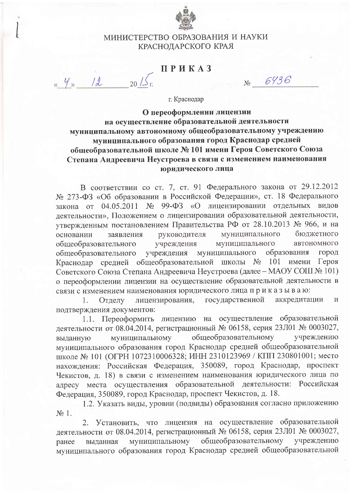

## МИНИСТЕРСТВО ОБРАЗОВАНИЯ И НАУКИ КРАСНОДАРСКОГО КРАЯ

## ПРИКАЗ

 $12$ 

 $N_0$  6936

г. Краснодар

О переоформлении лицензии на осуществление образовательной деятельности муниципальному автономному общеобразовательному учреждению муниципального образования город Краснодар средней общеобразовательной школе № 101 имени Героя Советского Союза Степана Андреевича Неустроева в связи с изменением наименования юридического лица

В соответствии со ст. 7, ст. 91 Федерального закона от 29.12.2012 № 273-ФЗ «Об образовании в Российской Федерации», ст. 18 Федерального закона от 04.05.2011 № 99-ФЗ «О лицензировании отдельных видов деятельности», Положением о лицензировании образовательной деятельности, утвержденным постановлением Правительства РФ от 28.10.2013 № 966, и на руководителя муниципального бюджетного заявления основании муниципального автономного общеобразовательного учреждения муниципального учреждения образования общеобразовательного город Краснодар средней общеобразовательной школы № 101 имени Героя Советского Союза Степана Андреевича Неустроева (далее - МАОУ СОШ № 101) о переоформлении лицензии на осуществление образовательной деятельности в связи с изменением наименования юридического лица приказываю:

государственной аккредитации Отделу лицензирования,  $1.$  $\overline{M}$ подтверждения документов:

1.1. Переоформить лицензию на осуществление образовательной деятельности от 08.04.2014, регистрационный № 06158, серия 23Л01 № 0003027, муниципальному общеобразовательному учреждению выданную муниципального образования город Краснодар средней общеобразовательной школе № 101 (ОГРН 1072310006328; ИНН 2310123969 / КПП 230801001; место нахождения: Российская Федерация, 350089, город Краснодар, проспект Чекистов, д. 18) в связи с изменением наименования юридического лица по адресу места осуществления образовательной деятельности: Российская Федерация, 350089, город Краснодар, проспект Чекистов, д. 18.

1.2. Указать виды, уровни (подвиды) образования согласно приложению  $N_2$  1.

2. Установить, что лицензия на осуществление образовательной деятельности от 08.04.2014, регистрационный № 06158, серия 23Л01 № 0003027, общеобразовательному муниципальному учреждению выданная ранее муниципального образования город Краснодар средней общеобразовательной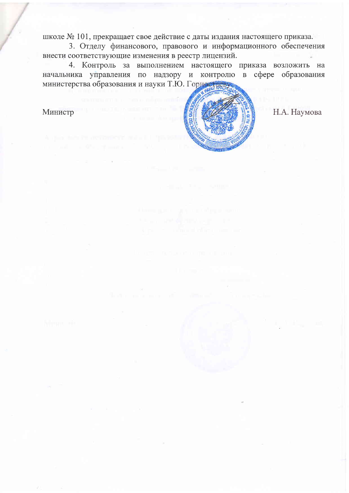школе № 101, прекращает свое действие с даты издания настоящего приказа.

3. Отделу финансового, правового и информационного обеспечения внести соответствующие изменения в реестр лицензий.

4. Контроль за выполнением настоящего приказа возложить на начальника управления по надзору и контролю в сфере образования министерства образования и науки Т.Ю. Горностания

Министр



Н.А. Наумова